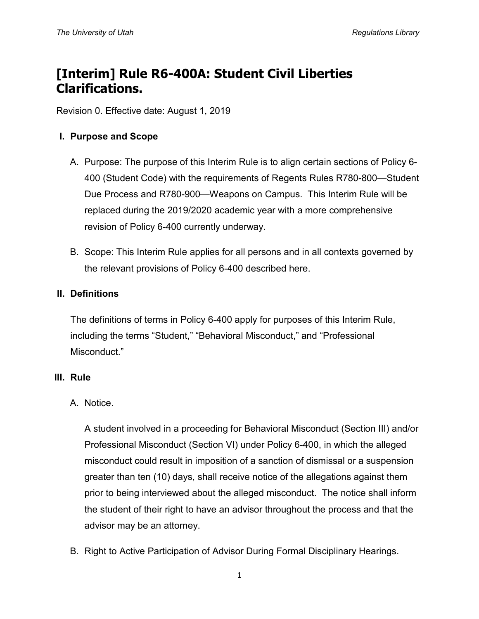# **[Interim] Rule R6-400A: Student Civil Liberties Clarifications.**

Revision 0. Effective date: August 1, 2019

#### **I. Purpose and Scope**

- A. Purpose: The purpose of this Interim Rule is to align certain sections of Policy 6- 400 (Student Code) with the requirements of Regents Rules R780-800—Student Due Process and R780-900—Weapons on Campus. This Interim Rule will be replaced during the 2019/2020 academic year with a more comprehensive revision of Policy 6-400 currently underway.
- B. Scope: This Interim Rule applies for all persons and in all contexts governed by the relevant provisions of Policy 6-400 described here.

#### **II. Definitions**

The definitions of terms in Policy 6-400 apply for purposes of this Interim Rule, including the terms "Student," "Behavioral Misconduct," and "Professional Misconduct."

#### **III. Rule**

## A. Notice.

A student involved in a proceeding for Behavioral Misconduct (Section III) and/or Professional Misconduct (Section VI) under Policy 6-400, in which the alleged misconduct could result in imposition of a sanction of dismissal or a suspension greater than ten (10) days, shall receive notice of the allegations against them prior to being interviewed about the alleged misconduct. The notice shall inform the student of their right to have an advisor throughout the process and that the advisor may be an attorney.

B. Right to Active Participation of Advisor During Formal Disciplinary Hearings.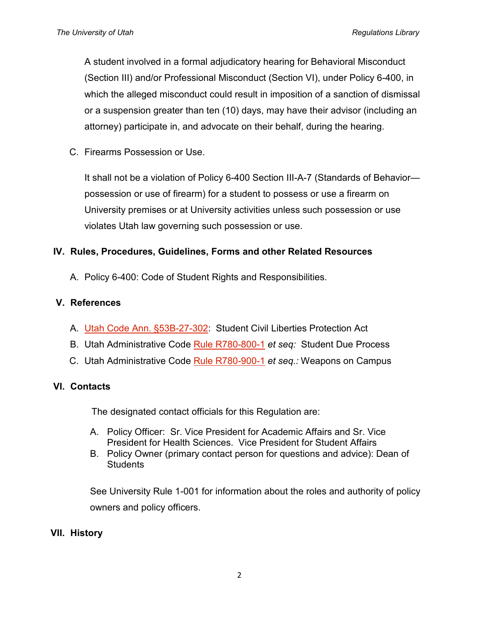A student involved in a formal adjudicatory hearing for Behavioral Misconduct (Section III) and/or Professional Misconduct (Section VI), under Policy 6-400, in which the alleged misconduct could result in imposition of a sanction of dismissal or a suspension greater than ten (10) days, may have their advisor (including an attorney) participate in, and advocate on their behalf, during the hearing.

C. Firearms Possession or Use.

It shall not be a violation of Policy 6-400 Section III-A-7 (Standards of Behavior possession or use of firearm) for a student to possess or use a firearm on University premises or at University activities unless such possession or use violates Utah law governing such possession or use.

# **IV. Rules, Procedures, Guidelines, Forms and other Related Resources**

A. Policy 6-400: Code of Student Rights and Responsibilities.

# **V. References**

- A. [Utah Code Ann. §53B-27-302:](https://le.utah.gov/xcode/Title53B/Chapter27/53B-27-P3.html?v=C53B-27-P3_2018050820180508) Student Civil Liberties Protection Act
- B. Utah Administrative Code [Rule R780-800-1](https://rules.utah.gov/publications/utah-adm-code/#/RegentsB) *et seq:* Student Due Process
- C. Utah Administrative Code [Rule R780-900-1](https://rules.utah.gov/publications/utah-adm-code/#/RegentsB) *et seq.:* Weapons on Campus

# **VI. Contacts**

The designated contact officials for this Regulation are:

- A. Policy Officer: Sr. Vice President for Academic Affairs and Sr. Vice President for Health Sciences. Vice President for Student Affairs
- B. Policy Owner (primary contact person for questions and advice): Dean of **Students**

See University Rule 1-001 for information about the roles and authority of policy owners and policy officers.

## **VII. History**